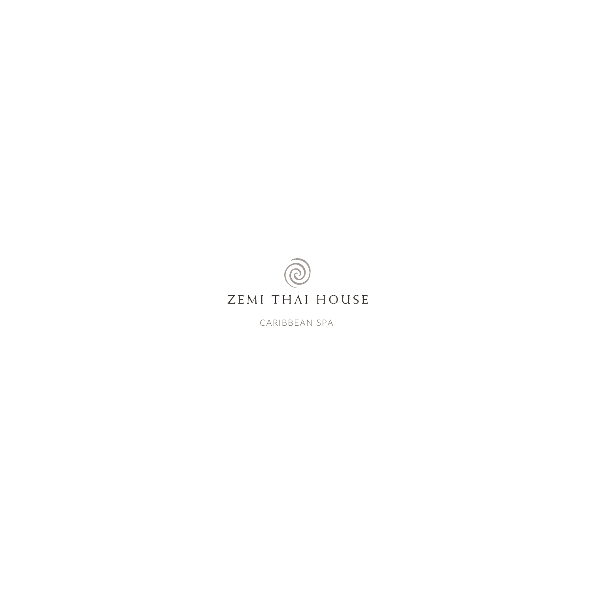

CARIBBEAN SPA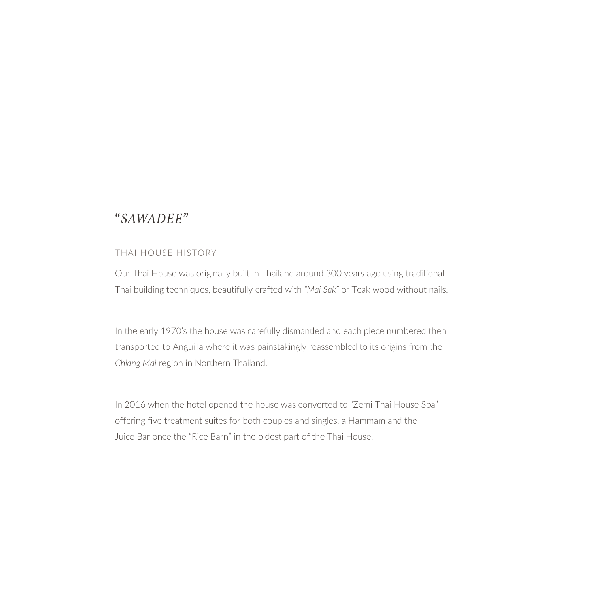## *"SAWADEE"*

## THAI HOUSE HISTORY

Our Thai House was originally built in Thailand around 300 years ago using traditional Thai building techniques, beautifully crafted with *"Mai Sak"* or Teak wood without nails.

In the early 1970's the house was carefully dismantled and each piece numbered then transported to Anguilla where it was painstakingly reassembled to its origins from the *Chiang Mai* region in Northern Thailand.

In 2016 when the hotel opened the house was converted to "Zemi Thai House Spa" offering five treatment suites for both couples and singles, a Hammam and the Juice Bar once the "Rice Barn" in the oldest part of the Thai House.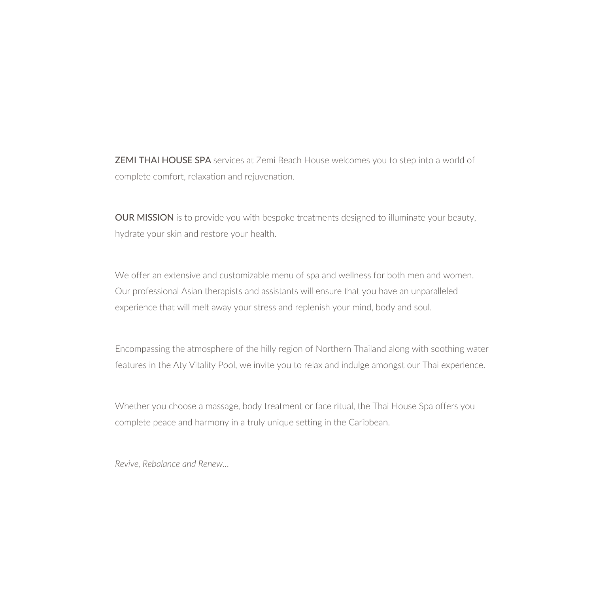ZEMI THAI HOUSE SPA services at Zemi Beach House welcomes you to step into a world of complete comfort, relaxation and rejuvenation.

OUR MISSION is to provide you with bespoke treatments designed to illuminate your beauty, hydrate your skin and restore your health.

We offer an extensive and customizable menu of spa and wellness for both men and women. Our professional Asian therapists and assistants will ensure that you have an unparalleled experience that will melt away your stress and replenish your mind, body and soul.

Encompassing the atmosphere of the hilly region of Northern Thailand along with soothing water features in the Aty Vitality Pool, we invite you to relax and indulge amongst our Thai experience.

Whether you choose a massage, body treatment or face ritual, the Thai House Spa offers you complete peace and harmony in a truly unique setting in the Caribbean.

*Revive, Rebalance and Renew…*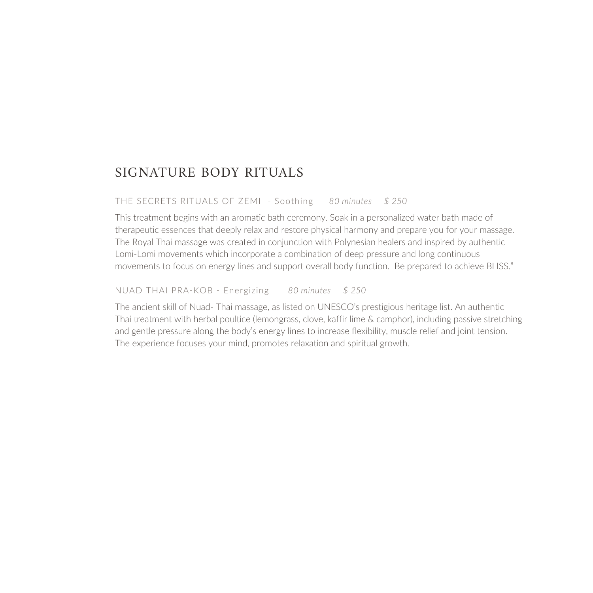## SIGNATURE BODY RITUALS

THE SECRETS RITUALS OF ZEMI - Soothing *80 minutes \$ 250*

This treatment begins with an aromatic bath ceremony. Soak in a personalized water bath made of therapeutic essences that deeply relax and restore physical harmony and prepare you for your massage. The Royal Thai massage was created in conjunction with Polynesian healers and inspired by authentic Lomi-Lomi movements which incorporate a combination of deep pressure and long continuous movements to focus on energy lines and support overall body function. Be prepared to achieve BLISS."

NUAD THAI PRA-KOB - Energizing *80 minutes \$ 250*

The ancient skill of Nuad- Thai massage, as listed on UNESCO's prestigious heritage list. An authentic Thai treatment with herbal poultice (lemongrass, clove, kaffir lime & camphor), including passive stretching and gentle pressure along the body's energy lines to increase flexibility, muscle relief and joint tension. The experience focuses your mind, promotes relaxation and spiritual growth.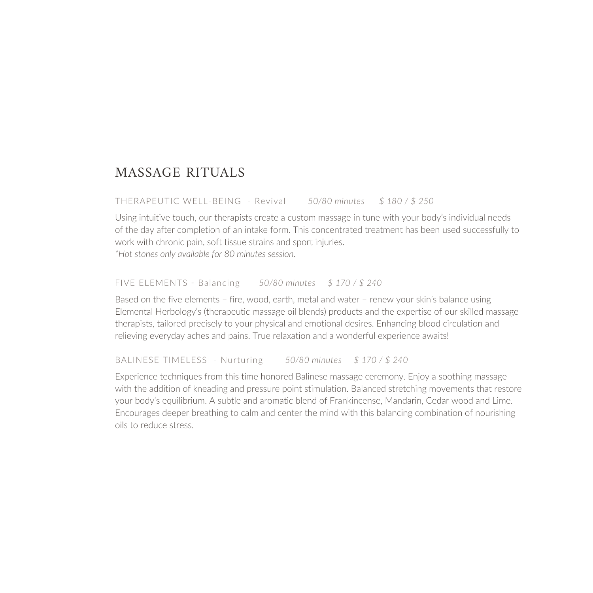## MASSAGE RITUALS

THERAPEUTIC WELL-BEING - Revival *50/80 minutes \$ 180 / \$ 250*

Using intuitive touch, our therapists create a custom massage in tune with your body's individual needs of the day after completion of an intake form. This concentrated treatment has been used successfully to work with chronic pain, soft tissue strains and sport injuries.

*\*Hot stones only available for 80 minutes session.*

FIVE ELEMENTS - Balancing *50/80 minutes \$ 170 / \$ 240*

Based on the five elements – fire, wood, earth, metal and water – renew your skin's balance using Elemental Herbology's (therapeutic massage oil blends) products and the expertise of our skilled massage therapists, tailored precisely to your physical and emotional desires. Enhancing blood circulation and relieving everyday aches and pains. True relaxation and a wonderful experience awaits!

BALINESE TIMELESS - Nurturing *50/80 minutes \$ 170 / \$ 240*

Experience techniques from this time honored Balinese massage ceremony. Enjoy a soothing massage with the addition of kneading and pressure point stimulation. Balanced stretching movements that restore your body's equilibrium. A subtle and aromatic blend of Frankincense, Mandarin, Cedar wood and Lime. Encourages deeper breathing to calm and center the mind with this balancing combination of nourishing oils to reduce stress.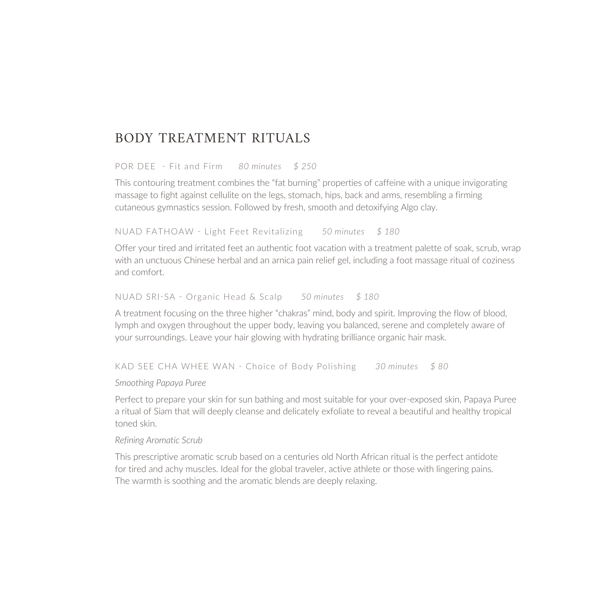## BODY TREATMENT RITUALS

POR DEE - Fit and Firm *80 minutes \$ 250*

This contouring treatment combines the "fat burning" properties of caffeine with a unique invigorating massage to fight against cellulite on the legs, stomach, hips, back and arms, resembling a firming cutaneous gymnastics session. Followed by fresh, smooth and detoxifying Algo clay.

NUAD FATHOAW - Light Feet Revitalizing *50 minutes \$ 180*

Offer your tired and irritated feet an authentic foot vacation with a treatment palette of soak, scrub, wrap with an unctuous Chinese herbal and an arnica pain relief gel, including a foot massage ritual of coziness and comfort.

#### NUAD SRI-SA - Organic Head & Scalp *50 minutes \$ 180*

A treatment focusing on the three higher "chakras" mind, body and spirit. Improving the flow of blood, lymph and oxygen throughout the upper body, leaving you balanced, serene and completely aware of your surroundings. Leave your hair glowing with hydrating brilliance organic hair mask.

KAD SEE CHA WHEE WAN - Choice of Body Polishing *30 minutes \$ 80*

*Smoothing Papaya Puree*

Perfect to prepare your skin for sun bathing and most suitable for your over-exposed skin, Papaya Puree a ritual of Siam that will deeply cleanse and delicately exfoliate to reveal a beautiful and healthy tropical toned skin.

### *Refining Aromatic Scrub*

This prescriptive aromatic scrub based on a centuries old North African ritual is the perfect antidote for tired and achy muscles. Ideal for the global traveler, active athlete or those with lingering pains. The warmth is soothing and the aromatic blends are deeply relaxing.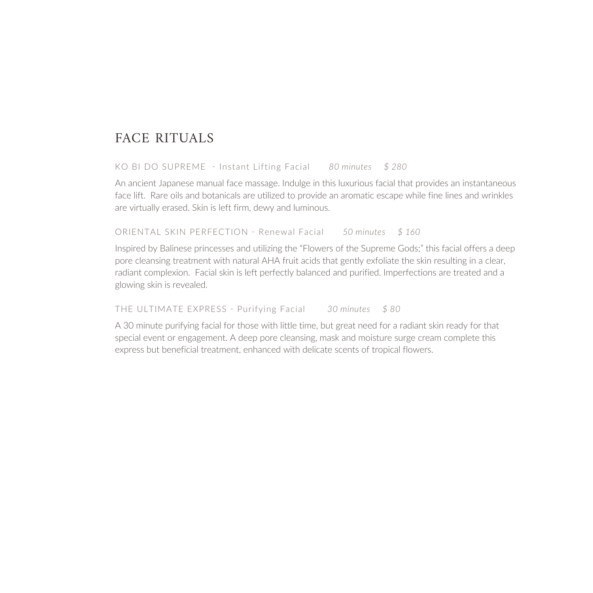# FACE RITUALS

### KO BI DO SUPREME - Instant Lifting Facial *80 minutes \$ 280*

An ancient Japanese manual face massage. Indulge in this luxurious facial that provides an instantaneous face lift. Rare oils and botanicals are utilized to provide an aromatic escape while fine lines and wrinkles are virtually erased. Skin is left firm, dewy and luminous.

ORIENTAL SKIN PERFECTION - Renewal Facial *50 minutes \$ 160*

Inspired by Balinese princesses and utilizing the "Flowers of the Supreme Gods;" this facial offers a deep pore cleansing treatment with natural AHA fruit acids that gently exfoliate the skin resulting in a clear, radiant complexion. Facial skin is left perfectly balanced and purified. Imperfections are treated and a glowing skin is revealed.

THE ULTIMATE EXPRESS - Purifying Facial *30 minutes \$ 80*

A 30 minute purifying facial for those with little time, but great need for a radiant skin ready for that special event or engagement. A deep pore cleansing, mask and moisture surge cream complete this express but beneficial treatment, enhanced with delicate scents of tropical flowers.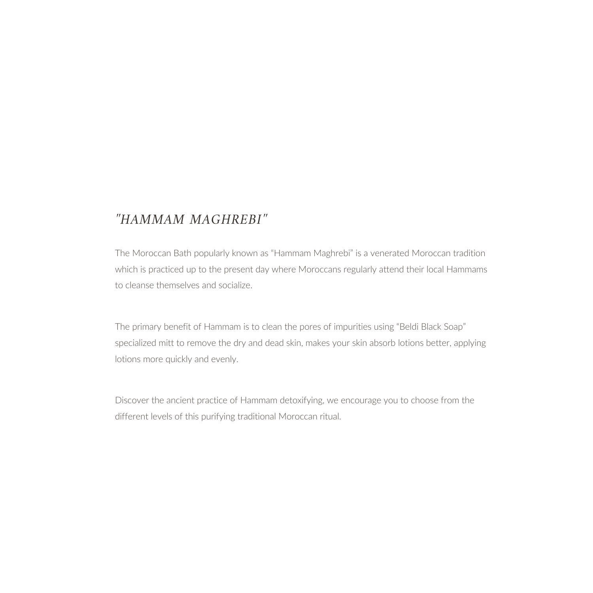# *"HAMMAM MAGHREBI"*

The Moroccan Bath popularly known as "Hammam Maghrebi" is a venerated Moroccan tradition which is practiced up to the present day where Moroccans regularly attend their local Hammams to cleanse themselves and socialize.

The primary benefit of Hammam is to clean the pores of impurities using "Beldi Black Soap" specialized mitt to remove the dry and dead skin, makes your skin absorb lotions better, applying lotions more quickly and evenly.

Discover the ancient practice of Hammam detoxifying, we encourage you to choose from the different levels of this purifying traditional Moroccan ritual.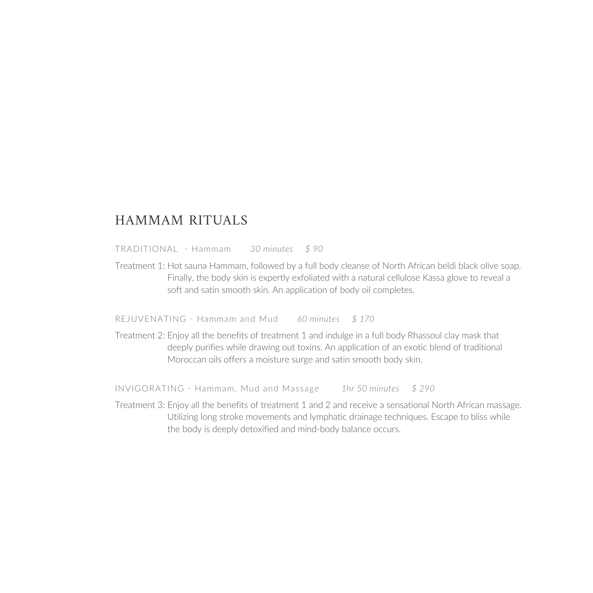## HAMMAM RITUALS

TRADITIONAL - Hammam *30 minutes \$ 90*

Treatment 1: Hot sauna Hammam, followed by a full body cleanse of North African beldi black olive soap. Finally, the body skin is expertly exfoliated with a natural cellulose Kassa glove to reveal a soft and satin smooth skin. An application of body oil completes.

REJUVENATING - Hammam and Mud *60 minutes \$ 170*

Treatment 2: Enjoy all the benefits of treatment 1 and indulge in a full body Rhassoul clay mask that deeply purifies while drawing out toxins. An application of an exotic blend of traditional Moroccan oils offers a moisture surge and satin smooth body skin.

INVIGORATING - Hammam, Mud and Massage *1hr 50 minutes \$ 290*

Treatment 3: Enjoy all the benefits of treatment 1 and 2 and receive a sensational North African massage. Utilizing long stroke movements and lymphatic drainage techniques. Escape to bliss while the body is deeply detoxified and mind-body balance occurs.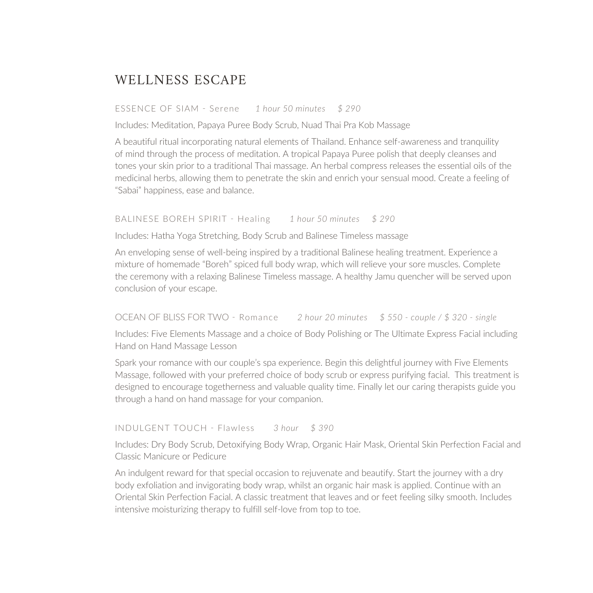# WELLNESS ESCAPE

#### ESSENCE OF SIAM - Serene *1 hour 50 minutes \$ 290*

Includes: Meditation, Papaya Puree Body Scrub, Nuad Thai Pra Kob Massage

A beautiful ritual incorporating natural elements of Thailand. Enhance self-awareness and tranquility of mind through the process of meditation. A tropical Papaya Puree polish that deeply cleanses and tones your skin prior to a traditional Thai massage. An herbal compress releases the essential oils of the medicinal herbs, allowing them to penetrate the skin and enrich your sensual mood. Create a feeling of "Sabai" happiness, ease and balance.

BALINESE BOREH SPIRIT - Healing *1 hour 50 minutes \$ 290*

Includes: Hatha Yoga Stretching, Body Scrub and Balinese Timeless massage

An enveloping sense of well-being inspired by a traditional Balinese healing treatment. Experience a mixture of homemade "Boreh" spiced full body wrap, which will relieve your sore muscles. Complete the ceremony with a relaxing Balinese Timeless massage. A healthy Jamu quencher will be served upon conclusion of your escape.

OCEAN OF BLISS FOR TWO - Romance *2 hour 20 minutes \$ 550 - couple / \$ 320 - single*

Includes: Five Elements Massage and a choice of Body Polishing or The Ultimate Express Facial including Hand on Hand Massage Lesson

Spark your romance with our couple's spa experience. Begin this delightful journey with Five Elements Massage, followed with your preferred choice of body scrub or express purifying facial. This treatment is designed to encourage togetherness and valuable quality time. Finally let our caring therapists guide you through a hand on hand massage for your companion.

INDULGENT TOUCH - Flawless *3 hour \$ 390*

Includes: Dry Body Scrub, Detoxifying Body Wrap, Organic Hair Mask, Oriental Skin Perfection Facial and Classic Manicure or Pedicure

An indulgent reward for that special occasion to rejuvenate and beautify. Start the journey with a dry body exfoliation and invigorating body wrap, whilst an organic hair mask is applied. Continue with an Oriental Skin Perfection Facial. A classic treatment that leaves and or feet feeling silky smooth. Includes intensive moisturizing therapy to fulfill self-love from top to toe.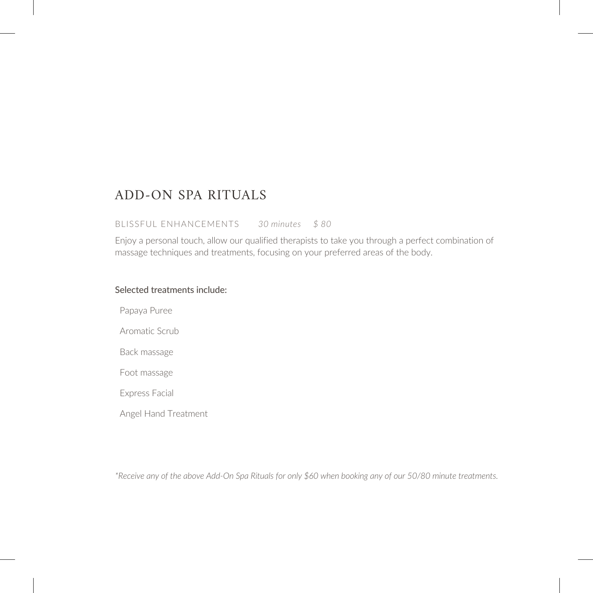## ADD-ON SPA RITUALS

#### BLISSFUL ENHANCEMENTS *30 minutes \$ 80*

Enjoy a personal touch, allow our qualified therapists to take you through a perfect combination of massage techniques and treatments, focusing on your preferred areas of the body.

## Selected treatments include:

Papaya Puree

Aromatic Scrub

Back massage

Foot massage

Express Facial

Angel Hand Treatment

*\*Receive any of the above Add-On Spa Rituals for only \$60 when booking any of our 50/80 minute treatments.*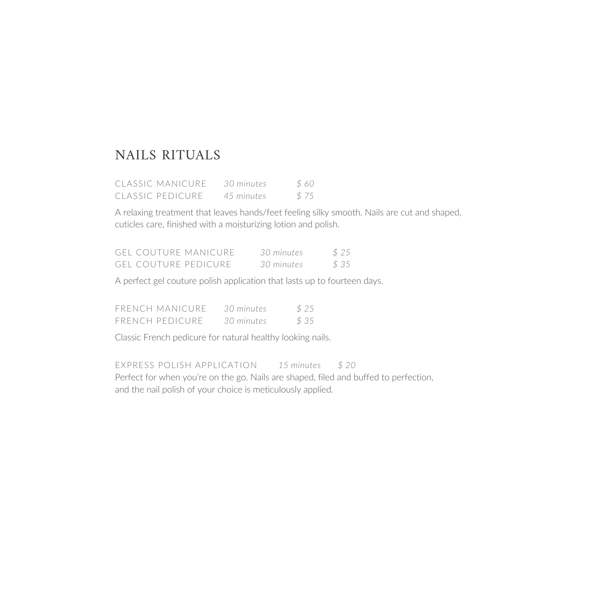# NAILS RITUALS

| CLASSIC MANICURF | 30 minutes | \$60 |  |
|------------------|------------|------|--|
| CLASSIC PEDICURE | 45 minutes | \$75 |  |

A relaxing treatment that leaves hands/feet feeling silky smooth. Nails are cut and shaped, cuticles care, finished with a moisturizing lotion and polish.

|  | GEL COUTURE MANICURE  | 30 minutes | \$25 |
|--|-----------------------|------------|------|
|  | GEL COUTURE PEDICURE. | 30 minutes | \$35 |

A perfect gel couture polish application that lasts up to fourteen days.

| FRENCH MANICURE        | 30 minutes | \$25 |
|------------------------|------------|------|
| <b>FRENCH PEDICURE</b> | 30 minutes | \$35 |

Classic French pedicure for natural healthy looking nails.

EXPRESS POLISH APPLICATION *15 minutes \$ 20* Perfect for when you're on the go. Nails are shaped, filed and buffed to perfection, and the nail polish of your choice is meticulously applied.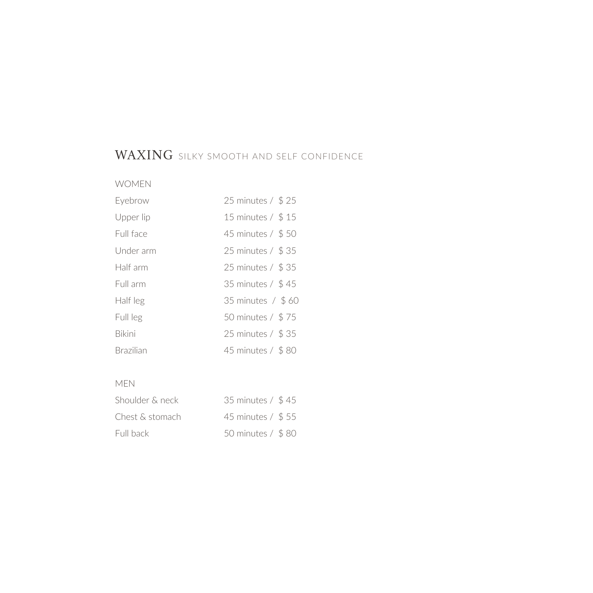# WAXING SILKY SMOOTH AND SELF CONFIDENCE

## WOMEN

| Eyebrow          | 25 minutes / \$25 |
|------------------|-------------------|
| Upper lip        | 15 minutes / \$15 |
| Full face        | 45 minutes / \$50 |
| Under arm        | 25 minutes / \$35 |
| Half arm         | 25 minutes / \$35 |
| Full arm         | 35 minutes / \$45 |
| Half leg         | 35 minutes / \$60 |
| Full leg         | 50 minutes / \$75 |
| <b>Bikini</b>    | 25 minutes / \$35 |
| <b>Brazilian</b> | 45 minutes / \$80 |

## MEN

| Shoulder & neck | 35 minutes / \$45 |  |
|-----------------|-------------------|--|
| Chest & stomach | 45 minutes / \$55 |  |
| Full back       | 50 minutes / \$80 |  |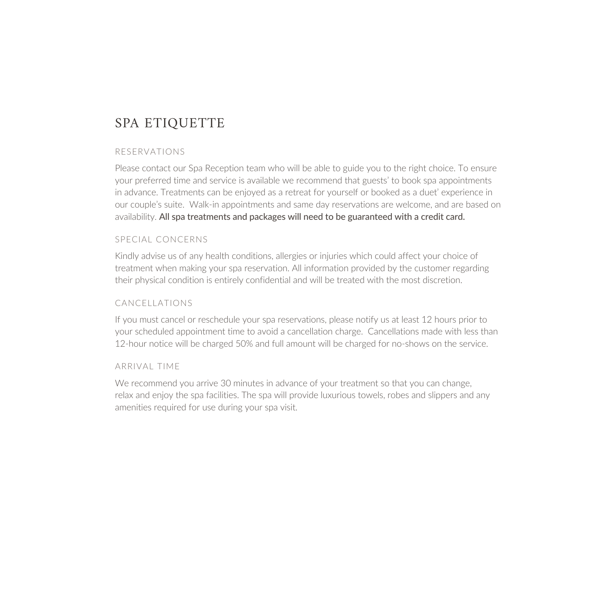# SPA ETIQUETTE

### RESERVATIONS

Please contact our Spa Reception team who will be able to guide you to the right choice. To ensure your preferred time and service is available we recommend that guests' to book spa appointments in advance. Treatments can be enjoyed as a retreat for yourself or booked as a duet' experience in our couple's suite. Walk-in appointments and same day reservations are welcome, and are based on availability. All spa treatments and packages will need to be guaranteed with a credit card.

### SPECIAL CONCERNS

Kindly advise us of any health conditions, allergies or injuries which could affect your choice of treatment when making your spa reservation. All information provided by the customer regarding their physical condition is entirely confidential and will be treated with the most discretion.

## CANCELLATIONS

If you must cancel or reschedule your spa reservations, please notify us at least 12 hours prior to your scheduled appointment time to avoid a cancellation charge. Cancellations made with less than 12-hour notice will be charged 50% and full amount will be charged for no-shows on the service.

#### ARRIVAL TIME

We recommend you arrive 30 minutes in advance of your treatment so that you can change, relax and enjoy the spa facilities. The spa will provide luxurious towels, robes and slippers and any amenities required for use during your spa visit.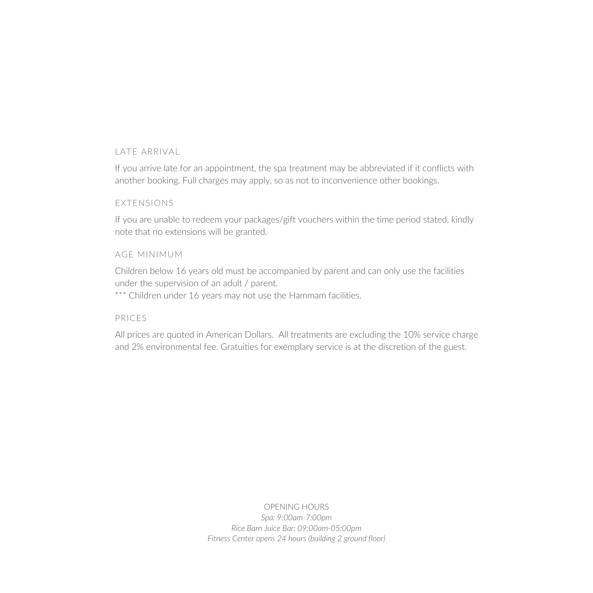## LATE ARRIVAL

If you arrive late for an appointment, the spa treatment may be abbreviated if it conflicts with another booking. Full charges may apply, so as not to inconvenience other bookings.

### EXTENSIONS

If you are unable to redeem your packages/gift vouchers within the time period stated, kindly note that no extensions will be granted.

### AGE MINIMUM

Children below 16 years old must be accompanied by parent and can only use the facilities under the supervision of an adult / parent.

\*\*\* Children under 16 years may not use the Hammam facilities.

## PRICES

All prices are quoted in American Dollars. All treatments are excluding the 10% service charge and 2% environmental fee. Gratuities for exemplary service is at the discretion of the guest.